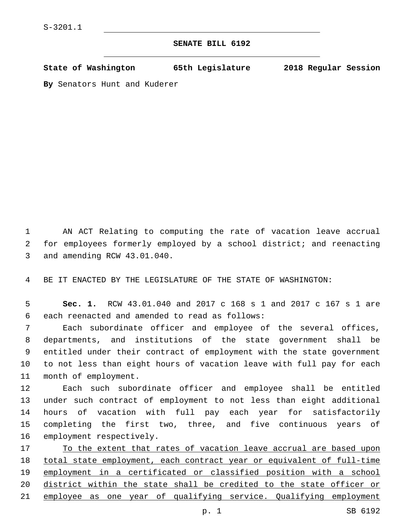## **SENATE BILL 6192**

**State of Washington 65th Legislature 2018 Regular Session**

**By** Senators Hunt and Kuderer

1 AN ACT Relating to computing the rate of vacation leave accrual 2 for employees formerly employed by a school district; and reenacting 3 and amending RCW 43.01.040.

4 BE IT ENACTED BY THE LEGISLATURE OF THE STATE OF WASHINGTON:

5 **Sec. 1.** RCW 43.01.040 and 2017 c 168 s 1 and 2017 c 167 s 1 are 6 each reenacted and amended to read as follows:

 Each subordinate officer and employee of the several offices, departments, and institutions of the state government shall be entitled under their contract of employment with the state government to not less than eight hours of vacation leave with full pay for each 11 month of employment.

 Each such subordinate officer and employee shall be entitled under such contract of employment to not less than eight additional hours of vacation with full pay each year for satisfactorily completing the first two, three, and five continuous years of 16 employment respectively.

17 To the extent that rates of vacation leave accrual are based upon 18 total state employment, each contract year or equivalent of full-time 19 employment in a certificated or classified position with a school 20 district within the state shall be credited to the state officer or 21 employee as one year of qualifying service. Qualifying employment